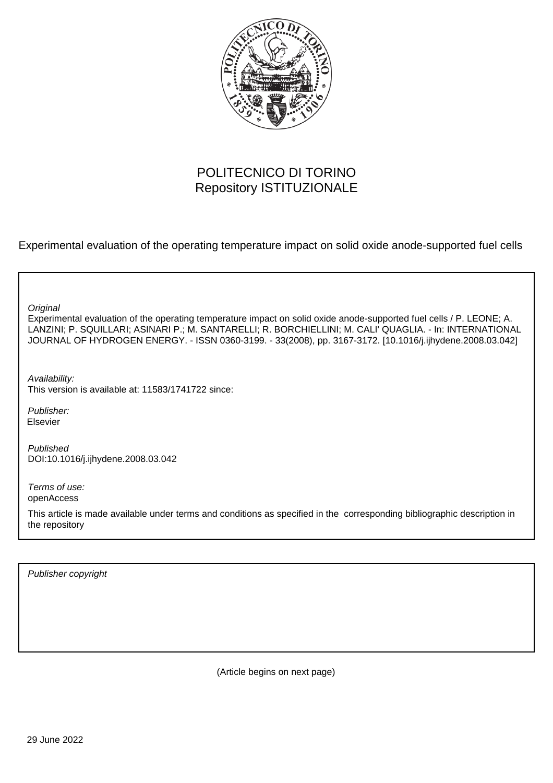

# POLITECNICO DI TORINO Repository ISTITUZIONALE

Experimental evaluation of the operating temperature impact on solid oxide anode-supported fuel cells

**Original** 

Experimental evaluation of the operating temperature impact on solid oxide anode-supported fuel cells / P. LEONE; A. LANZINI; P. SQUILLARI; ASINARI P.; M. SANTARELLI; R. BORCHIELLINI; M. CALI' QUAGLIA. - In: INTERNATIONAL JOURNAL OF HYDROGEN ENERGY. - ISSN 0360-3199. - 33(2008), pp. 3167-3172. [10.1016/j.ijhydene.2008.03.042]

Availability: This version is available at: 11583/1741722 since:

Publisher: Elsevier

Published DOI:10.1016/j.ijhydene.2008.03.042

Terms of use: openAccess

This article is made available under terms and conditions as specified in the corresponding bibliographic description in the repository

Publisher copyright

(Article begins on next page)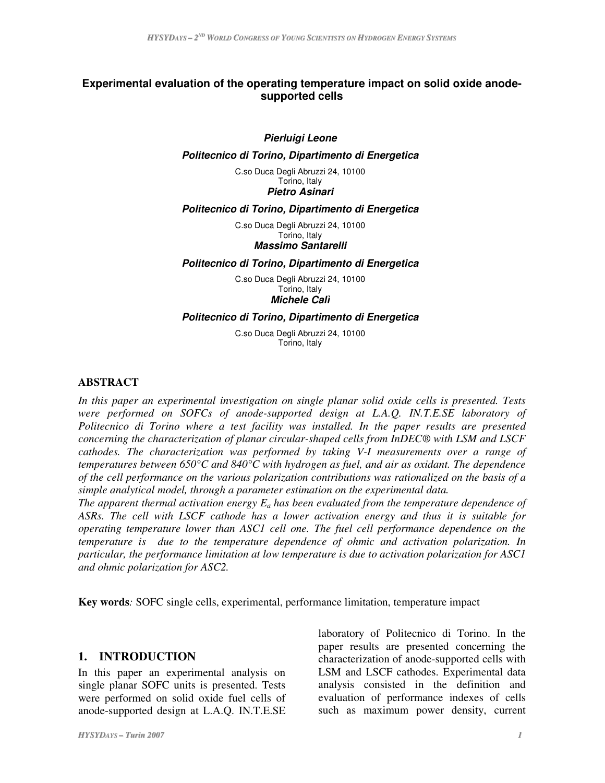### **Experimental evaluation of the operating temperature impact on solid oxide anodesupported cells**

#### *Pierluigi Leone*

#### *Politecnico di Torino, Dipartimento di Energetica*

C.so Duca Degli Abruzzi 24, 10100 Torino, Italy *Pietro Asinari*

#### *Politecnico di Torino, Dipartimento di Energetica*

C.so Duca Degli Abruzzi 24, 10100 Torino, Italy *Massimo Santarelli*

#### *Politecnico di Torino, Dipartimento di Energetica*

C.so Duca Degli Abruzzi 24, 10100 Torino, Italy *Michele Calì*

#### *Politecnico di Torino, Dipartimento di Energetica*

C.so Duca Degli Abruzzi 24, 10100 Torino, Italy

#### **ABSTRACT**

*In this paper an experimental investigation on single planar solid oxide cells is presented. Tests were performed on SOFCs of anode-supported design at L.A.Q. IN.T.E.SE laboratory of Politecnico di Torino where a test facility was installed. In the paper results are presented concerning the characterization of planar circular-shaped cells from InDEC® with LSM and LSCF cathodes. The characterization was performed by taking V-I measurements over a range of temperatures between 650°C and 840°C with hydrogen as fuel, and air as oxidant. The dependence of the cell performance on the various polarization contributions was rationalized on the basis of a simple analytical model, through a parameter estimation on the experimental data.*

*The apparent thermal activation energy E<sup>a</sup> has been evaluated from the temperature dependence of ASRs. The cell with LSCF cathode has a lower activation energy and thus it is suitable for operating temperature lower than ASC1 cell one. The fuel cell performance dependence on the temperature is due to the temperature dependence of ohmic and activation polarization. In particular, the performance limitation at low temperature is due to activation polarization for ASC1 and ohmic polarization for ASC2.*

**Key words***:* SOFC single cells, experimental, performance limitation, temperature impact

#### **1. INTRODUCTION**

In this paper an experimental analysis on single planar SOFC units is presented. Tests were performed on solid oxide fuel cells of anode-supported design at L.A.Q. IN.T.E.SE laboratory of Politecnico di Torino. In the paper results are presented concerning the characterization of anode-supported cells with LSM and LSCF cathodes. Experimental data analysis consisted in the definition and evaluation of performance indexes of cells such as maximum power density, current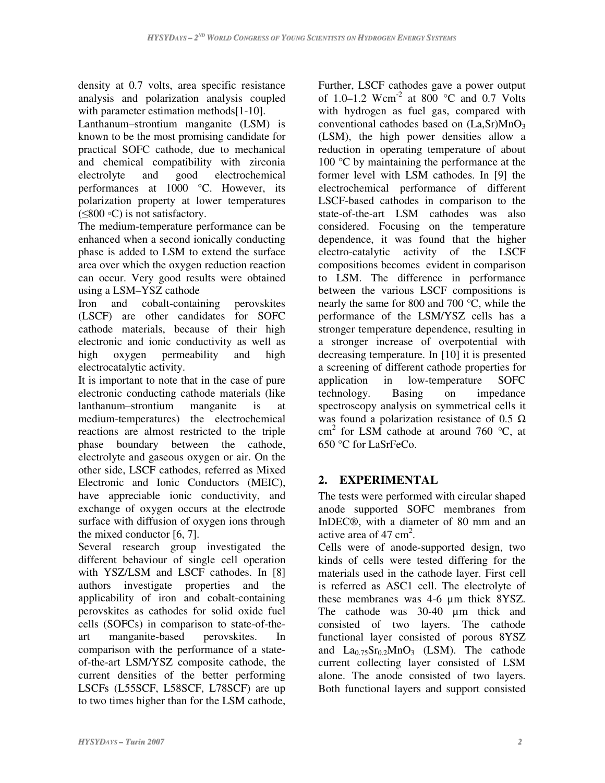density at 0.7 volts, area specific resistance analysis and polarization analysis coupled with parameter estimation methods[1-10].

Lanthanum–strontium manganite (LSM) is known to be the most promising candidate for practical SOFC cathode, due to mechanical and chemical compatibility with zirconia electrolyte and good electrochemical performances at 1000 °C. However, its polarization property at lower temperatures  $(\leq 800 \degree C)$  is not satisfactory.

The medium-temperature performance can be enhanced when a second ionically conducting phase is added to LSM to extend the surface area over which the oxygen reduction reaction can occur. Very good results were obtained using a LSM–YSZ cathode

Iron and cobalt-containing perovskites (LSCF) are other candidates for SOFC cathode materials, because of their high electronic and ionic conductivity as well as high oxygen permeability and high electrocatalytic activity.

It is important to note that in the case of pure electronic conducting cathode materials (like lanthanum–strontium manganite is at medium-temperatures) the electrochemical reactions are almost restricted to the triple phase boundary between the cathode, electrolyte and gaseous oxygen or air. On the other side, LSCF cathodes, referred as Mixed Electronic and Ionic Conductors (MEIC), have appreciable ionic conductivity, and exchange of oxygen occurs at the electrode surface with diffusion of oxygen ions through the mixed conductor [6, 7].

Several research group investigated the different behaviour of single cell operation with YSZ/LSM and LSCF cathodes. In [8] authors investigate properties and the applicability of iron and cobalt-containing perovskites as cathodes for solid oxide fuel cells (SOFCs) in comparison to state-of-theart manganite-based perovskites. In comparison with the performance of a stateof-the-art LSM/YSZ composite cathode, the current densities of the better performing LSCFs (L55SCF, L58SCF, L78SCF) are up to two times higher than for the LSM cathode, Further, LSCF cathodes gave a power output of 1.0–1.2 Wcm<sup>-2</sup> at 800 °C and 0.7 Volts with hydrogen as fuel gas, compared with conventional cathodes based on  $(La, Sr)MnO<sub>3</sub>$ (LSM), the high power densities allow a reduction in operating temperature of about 100 °C by maintaining the performance at the former level with LSM cathodes. In [9] the electrochemical performance of different LSCF-based cathodes in comparison to the state-of-the-art LSM cathodes was also considered. Focusing on the temperature dependence, it was found that the higher electro-catalytic activity of the LSCF compositions becomes evident in comparison to LSM. The difference in performance between the various LSCF compositions is nearly the same for 800 and 700 °C, while the performance of the LSM/YSZ cells has a stronger temperature dependence, resulting in a stronger increase of overpotential with decreasing temperature. In [10] it is presented a screening of different cathode properties for application in low-temperature SOFC<br>technology. Basing on impedance technology. Basing on impedance spectroscopy analysis on symmetrical cells it was found a polarization resistance of 0.5  $\Omega$ cm 2 for LSM cathode at around 760 °C, at 650 °C for LaSrFeCo.

# **2. EXPERIMENTAL**

The tests were performed with circular shaped anode supported SOFC membranes from InDEC®, with a diameter of 80 mm and an active area of  $47 \text{ cm}^2$ .

Cells were of anode-supported design, two kinds of cells were tested differing for the materials used in the cathode layer. First cell is referred as ASC1 cell. The electrolyte of these membranes was 4-6 µm thick 8YSZ. The cathode was 30-40 µm thick and consisted of two layers. The cathode functional layer consisted of porous 8YSZ and  $La<sub>0.75</sub>Sr<sub>0.2</sub>MnO<sub>3</sub>$  (LSM). The cathode current collecting layer consisted of LSM alone. The anode consisted of two layers. Both functional layers and support consisted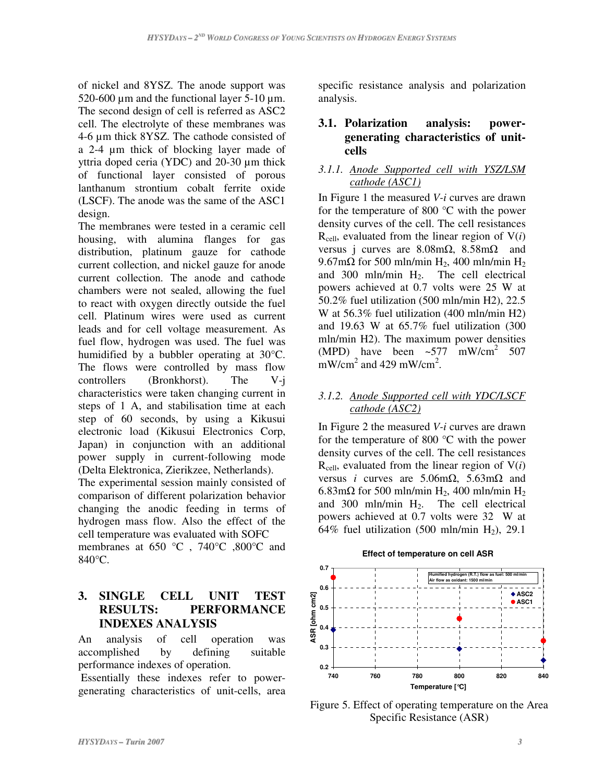of nickel and 8YSZ. The anode support was 520-600  $\mu$ m and the functional layer 5-10  $\mu$ m. The second design of cell is referred as ASC2 cell. The electrolyte of these membranes was 4-6 µm thick 8YSZ. The cathode consisted of a 2-4 µm thick of blocking layer made of yttria doped ceria (YDC) and 20-30 µm thick of functional layer consisted of porous lanthanum strontium cobalt ferrite oxide (LSCF). The anode was the same of the ASC1 design.

The membranes were tested in a ceramic cell housing, with alumina flanges for gas distribution, platinum gauze for cathode current collection, and nickel gauze for anode current collection. The anode and cathode chambers were not sealed, allowing the fuel to react with oxygen directly outside the fuel cell. Platinum wires were used as current leads and for cell voltage measurement. As fuel flow, hydrogen was used. The fuel was humidified by a bubbler operating at 30°C. The flows were controlled by mass flow controllers (Bronkhorst). The V-j characteristics were taken changing current in steps of 1 A, and stabilisation time at each step of 60 seconds, by using a Kikusui electronic load (Kikusui Electronics Corp, Japan) in conjunction with an additional power supply in current-following mode (Delta Elektronica, Zierikzee, Netherlands).

The experimental session mainly consisted of comparison of different polarization behavior changing the anodic feeding in terms of hydrogen mass flow. Also the effect of the cell temperature was evaluated with SOFC

membranes at 650 °C, 740°C ,800°C and 840°C.

# **3. SINGLE CELL UNIT TEST RESULTS: PERFORMANCE INDEXES ANALYSIS**

An analysis of cell operation was accomplished by defining suitable performance indexes of operation.

Essentially these indexes refer to powergenerating characteristics of unit-cells, area specific resistance analysis and polarization analysis.

### **3.1. Polarization analysis: powergenerating characteristics of unitcells**

### *3.1.1. Anode Supported cell with YSZ/LSM cathode (ASC1)*

In Figure 1 the measured *V-i* curves are drawn for the temperature of 800 °C with the power density curves of the cell. The cell resistances  $R_{cell}$ , evaluated from the linear region of  $V(i)$ versus j curves are  $8.08 \text{m}\Omega$ ,  $8.58 \text{m}\Omega$  and  $9.67 \text{m}\Omega$  for 500 mln/min H<sub>2</sub>, 400 mln/min H<sub>2</sub> and  $300 \text{ mln/min H}_2$ . The cell electrical powers achieved at 0.7 volts were 25 W at 50.2% fuel utilization (500 mln/min H2), 22.5 W at 56.3% fuel utilization (400 mln/min H2) and 19.63 W at 65.7% fuel utilization (300 mln/min H2). The maximum power densities (MPD) have been  $\sim 577$  mW/cm<sup>2</sup> 507  $mW/cm<sup>2</sup>$  and 429 mW/cm<sup>2</sup>.

### *3.1.2. Anode Supported cell with YDC/LSCF cathode (ASC2)*

In Figure 2 the measured *V-i* curves are drawn for the temperature of 800 °C with the power density curves of the cell. The cell resistances  $R_{cell}$ , evaluated from the linear region of  $V(i)$ versus *i* curves are  $5.06 \text{m}\Omega$ ,  $5.63 \text{m}\Omega$  and 6.83m $\Omega$  for 500 mln/min H<sub>2</sub>, 400 mln/min H<sub>2</sub> and  $300 \text{ mln/min H}_2$ . The cell electrical powers achieved at 0.7 volts were 32 W at 64% fuel utilization (500 mln/min  $H_2$ ), 29.1

#### **Effect of temperature on cell ASR**



Figure 5. Effect of operating temperature on the Area Specific Resistance (ASR)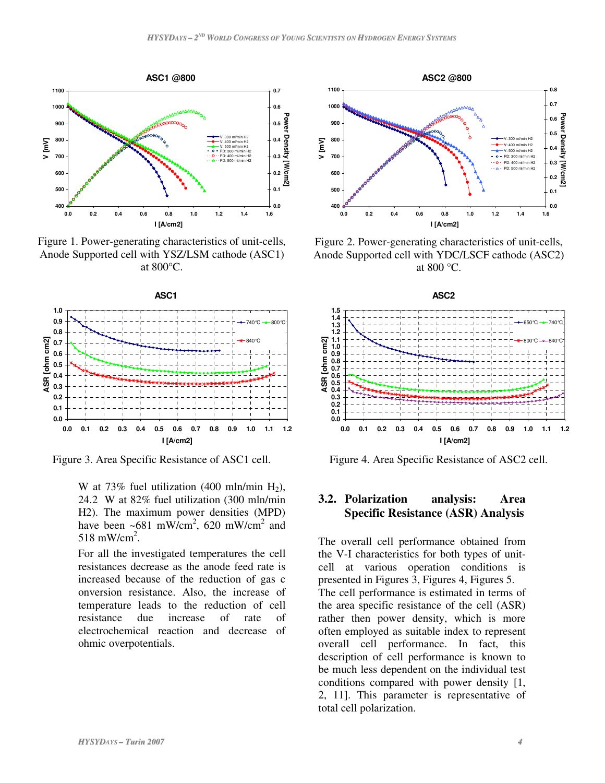

Figure 1. Power-generating characteristics of unit-cells, Anode Supported cell with YSZ/LSM cathode (ASC1) at 800°C.



Figure 3. Area Specific Resistance of ASC1 cell.

W at 73% fuel utilization (400 mln/min  $H_2$ ), 24.2 W at 82% fuel utilization (300 mln/min H2). The maximum power densities (MPD) have been  $\sim 681$  mW/cm<sup>2</sup>, 620 mW/cm<sup>2</sup> and 518 mW/cm<sup>2</sup>.

For all the investigated temperatures the cell resistances decrease as the anode feed rate is increased because of the reduction of gas c onversion resistance. Also, the increase of temperature leads to the reduction of cell resistance due increase of rate of electrochemical reaction and decrease of ohmic overpotentials.



Figure 2. Power-generating characteristics of unit-cells, Anode Supported cell with YDC/LSCF cathode (ASC2) at 800 °C.



Figure 4. Area Specific Resistance of ASC2 cell.

### **3.2. Polarization analysis: Area Specific Resistance (ASR) Analysis**

The overall cell performance obtained from the V-I characteristics for both types of unitcell at various operation conditions is presented in Figures 3, Figures 4, Figures 5. The cell performance is estimated in terms of the area specific resistance of the cell (ASR) rather then power density, which is more often employed as suitable index to represent overall cell performance. In fact, this description of cell performance is known to be much less dependent on the individual test conditions compared with power density [1, 2, 11]. This parameter is representative of total cell polarization.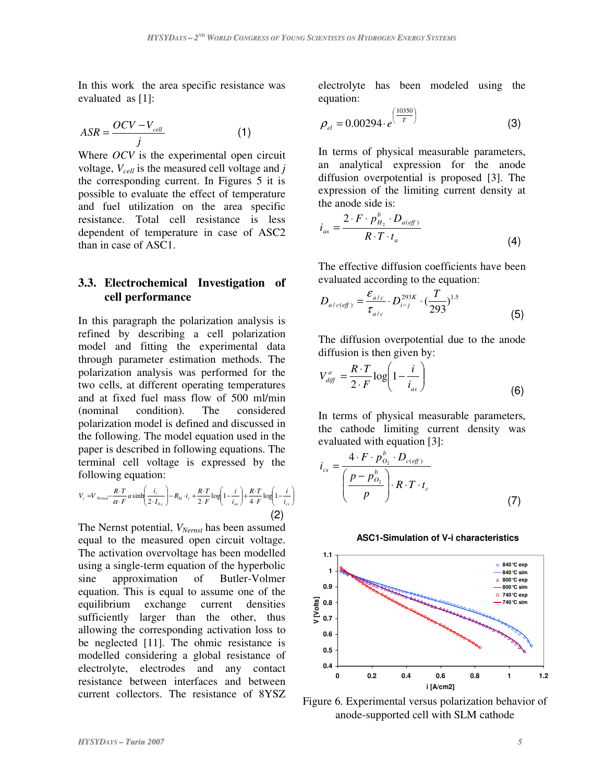In this work the area specific resistance was evaluated as [1]:

$$
ASR = \frac{OCV - V_{cell}}{j}
$$
 (1)

Where *OCV* is the experimental open circuit voltage, *Vcell* is the measured cell voltage and *j* the corresponding current. In Figures 5 it is possible to evaluate the effect of temperature and fuel utilization on the area specific resistance. Total cell resistance is less dependent of temperature in case of ASC2 than in case of ASC1.

### **3.3. Electrochemical Investigation of cell performance**

In this paragraph the polarization analysis is refined by describing a cell polarization model and fitting the experimental data through parameter estimation methods. The polarization analysis was performed for the two cells, at different operating temperatures and at fixed fuel mass flow of 500 ml/min (nominal condition). The considered polarization model is defined and discussed in the following. The model equation used in the paper is described in following equations. The terminal cell voltage is expressed by the following equation:

$$
V_c = V_{Nernst} - \frac{R \cdot T}{\alpha \cdot F} a \sinh\left(\frac{i_c}{2 \cdot I_{0,c}}\right) - R_{\Omega} \cdot i_c + \frac{R \cdot T}{2 \cdot F} \log\left(1 - \frac{i}{i_{as}}\right) + \frac{R \cdot T}{4 \cdot F} \log\left(1 - \frac{i}{i_{cs}}\right)
$$
\n
$$
(2)
$$

The Nernst potential, *VNernst* has been assumed equal to the measured open circuit voltage. The activation overvoltage has been modelled using a single-term equation of the hyperbolic sine approximation of Butler-Volmer equation. This is equal to assume one of the equilibrium exchange current densities sufficiently larger than the other, thus allowing the corresponding activation loss to be neglected [11]. The ohmic resistance is modelled considering a global resistance of electrolyte, electrodes and any contact resistance between interfaces and between current collectors. The resistance of 8YSZ

electrolyte has been modeled using the equation:

$$
\rho_{el} = 0.00294 \cdot e^{\left(\frac{10350}{T}\right)}\tag{3}
$$

In terms of physical measurable parameters, an analytical expression for the anode diffusion overpotential is proposed [3]. The expression of the limiting current density at the anode side is:

$$
i_{as} = \frac{2 \cdot F \cdot p_{H_2}^b \cdot D_{a(eff)}}{R \cdot T \cdot t_a}
$$
 (4)

The effective diffusion coefficients have been evaluated according to the equation:

$$
D_{a/c(eff)} = \frac{\varepsilon_{a/c}}{\tau_{a/c}} \cdot D_{i-j}^{293K} \cdot (\frac{T}{293})^{1.5}
$$
 (5)

The diffusion overpotential due to the anode diffusion is then given by:

$$
V_{\text{diff}}^a = \frac{R \cdot T}{2 \cdot F} \log \left( 1 - \frac{i}{i_{\text{as}}} \right) \tag{6}
$$

In terms of physical measurable parameters, the cathode limiting current density was evaluated with equation [3]:

$$
i_{cs} = \frac{4 \cdot F \cdot p_{O_2}^b \cdot D_{c(eff)}}{\left(\frac{p - p_{O_2}^b}{p}\right) \cdot R \cdot T \cdot t_c}
$$
\n(7)

#### **ASC1-Simulation of V-i characteristics**



Figure 6. Experimental versus polarization behavior of anode-supported cell with SLM cathode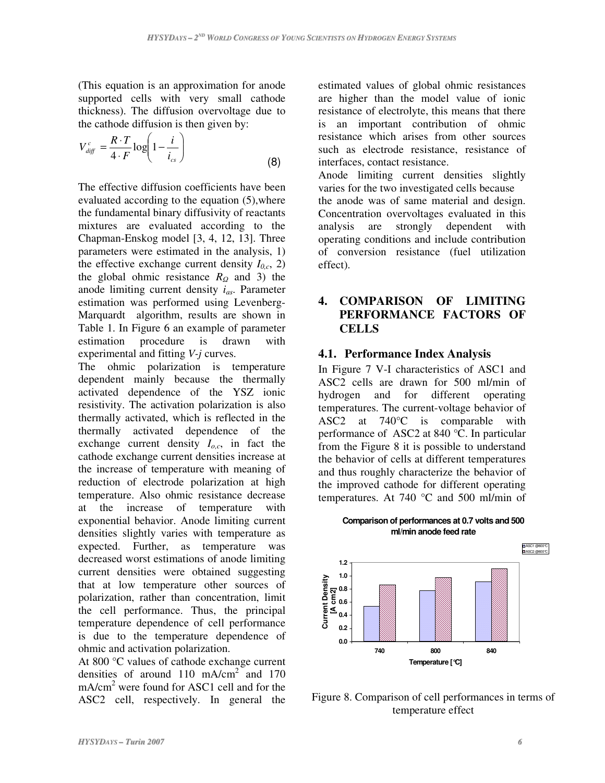(This equation is an approximation for anode supported cells with very small cathode thickness). The diffusion overvoltage due to the cathode diffusion is then given by:

$$
V_{\text{diff}}^c = \frac{R \cdot T}{4 \cdot F} \log \left( 1 - \frac{i}{i_{cs}} \right) \tag{8}
$$

The effective diffusion coefficients have been evaluated according to the equation (5),where the fundamental binary diffusivity of reactants mixtures are evaluated according to the Chapman-Enskog model [3, 4, 12, 13]. Three parameters were estimated in the analysis, 1) the effective exchange current density  $I_{0,c}$ , 2) the global ohmic resistance  $R_Q$  and 3) the anode limiting current density *ias*. Parameter estimation was performed using Levenberg-Marquardt algorithm, results are shown in Table 1. In Figure 6 an example of parameter estimation procedure is drawn with experimental and fitting *V-j* curves.

The ohmic polarization is temperature dependent mainly because the thermally activated dependence of the YSZ ionic resistivity. The activation polarization is also thermally activated, which is reflected in the thermally activated dependence of the exchange current density  $I_{o,c}$ , in fact the cathode exchange current densities increase at the increase of temperature with meaning of reduction of electrode polarization at high temperature. Also ohmic resistance decrease at the increase of temperature with exponential behavior. Anode limiting current densities slightly varies with temperature as expected. Further, as temperature was decreased worst estimations of anode limiting current densities were obtained suggesting that at low temperature other sources of polarization, rather than concentration, limit the cell performance. Thus, the principal temperature dependence of cell performance is due to the temperature dependence of ohmic and activation polarization.

At 800 °C values of cathode exchange current densities of around 110 mA/cm<sup>2</sup> and 170 mA/cm<sup>2</sup> were found for ASC1 cell and for the ASC2 cell, respectively. In general the estimated values of global ohmic resistances are higher than the model value of ionic resistance of electrolyte, this means that there is an important contribution of ohmic resistance which arises from other sources such as electrode resistance, resistance of interfaces, contact resistance.

Anode limiting current densities slightly varies for the two investigated cells because the anode was of same material and design. Concentration overvoltages evaluated in this analysis are strongly dependent with operating conditions and include contribution of conversion resistance (fuel utilization effect).

# **4. COMPARISON OF LIMITING PERFORMANCE FACTORS OF CELLS**

### **4.1. Performance Index Analysis**

In Figure 7 V-I characteristics of ASC1 and ASC2 cells are drawn for 500 ml/min of hydrogen and for different operating temperatures. The current-voltage behavior of ASC2 at 740°C is comparable with performance of ASC2 at 840 °C. In particular from the Figure 8 it is possible to understand the behavior of cells at different temperatures and thus roughly characterize the behavior of the improved cathode for different operating temperatures. At 740 °C and 500 ml/min of

**Comparison of performances at 0.7 volts and 500 ml/min anode feed rate**



Figure 8. Comparison of cell performances in terms of temperature effect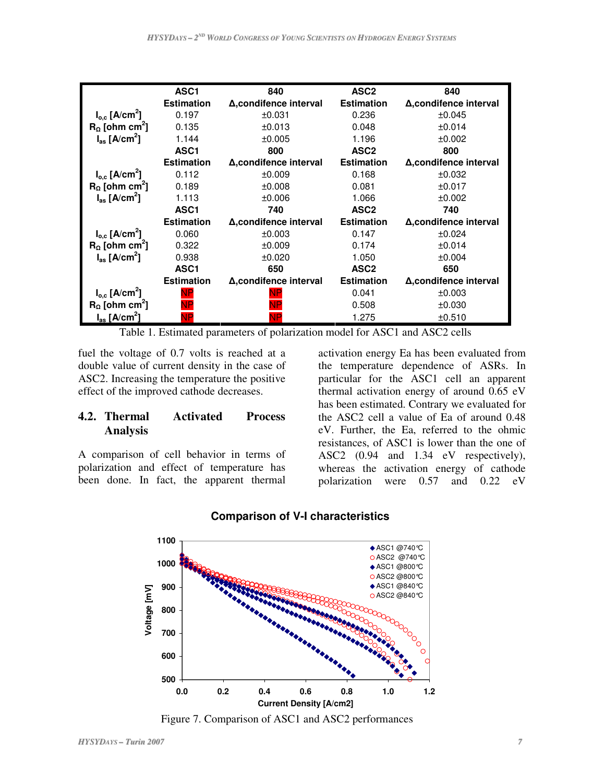|                                      | ASC <sub>1</sub>  | 840                    | ASC <sub>2</sub>  | 840                    |
|--------------------------------------|-------------------|------------------------|-------------------|------------------------|
|                                      | <b>Estimation</b> | Δ, condifence interval | <b>Estimation</b> | Δ, condifence interval |
| $I_{o.c}$ [A/cm <sup>2</sup> ]       | 0.197             | ±0.031                 | 0.236             | ±0.045                 |
| $R_{\Omega}$ [ohm cm <sup>2</sup> ]  | 0.135             | ±0.013                 | 0.048             | ±0.014                 |
| $I_{as}$ [A/cm <sup>2</sup> ]        | 1.144             | ±0.005                 | 1.196             | ±0.002                 |
|                                      | ASC <sub>1</sub>  | 800                    | ASC <sub>2</sub>  | 800                    |
|                                      | <b>Estimation</b> | Δ.condifence interval  | <b>Estimation</b> | Δ, condifence interval |
| $I_{o,c}$ [A/cm <sup>2</sup> ]       | 0.112             | ±0.009                 | 0.168             | ±0.032                 |
| $R_{\Omega}$ [ohm cm <sup>2</sup> ]  | 0.189             | ±0.008                 | 0.081             | ±0.017                 |
| $I_{\text{as}}$ [A/cm <sup>2</sup> ] | 1.113             | ±0.006                 | 1.066             | ±0.002                 |
|                                      | ASC <sub>1</sub>  | 740                    | ASC <sub>2</sub>  | 740                    |
|                                      | <b>Estimation</b> | Δ, condifence interval | <b>Estimation</b> | Δ, condifence interval |
| $I_{o,c}$ [A/cm <sup>2</sup> ]       | 0.060             | ±0.003                 | 0.147             | ±0.024                 |
| $R_0$ [ohm cm <sup>2</sup> ]         | 0.322             | ±0.009                 | 0.174             | ±0.014                 |
| $I_{\rm as}$ [A/cm <sup>2</sup> ]    | 0.938             | ±0.020                 | 1.050             | ±0.004                 |
|                                      | ASC <sub>1</sub>  | 650                    | ASC <sub>2</sub>  | 650                    |
|                                      | <b>Estimation</b> | Δ, condifence interval | <b>Estimation</b> | Δ, condifence interval |
| $I_{o,c}$ [A/cm <sup>2</sup> ]       |                   |                        | 0.041             | ±0.003                 |
| $R_0$ [ohm cm <sup>2</sup> ]         |                   |                        | 0.508             | ±0.030                 |
| $I_{\rm as}$ [A/cm <sup>2</sup> ]    |                   |                        | 1.275             | ±0.510                 |

Table 1. Estimated parameters of polarization model for ASC1 and ASC2 cells

fuel the voltage of 0.7 volts is reached at a double value of current density in the case of ASC2. Increasing the temperature the positive effect of the improved cathode decreases.

### **4.2. Thermal Activated Process Analysis**

A comparison of cell behavior in terms of polarization and effect of temperature has been done. In fact, the apparent thermal

activation energy Ea has been evaluated from the temperature dependence of ASRs. In particular for the ASC1 cell an apparent thermal activation energy of around 0.65 eV has been estimated. Contrary we evaluated for the ASC2 cell a value of Ea of around 0.48 eV. Further, the Ea, referred to the ohmic resistances, of ASC1 is lower than the one of ASC2 (0.94 and 1.34 eV respectively), whereas the activation energy of cathode polarization were 0.57 and 0.22 eV



### **Comparison of V-I characteristics**

Figure 7. Comparison of ASC1 and ASC2 performances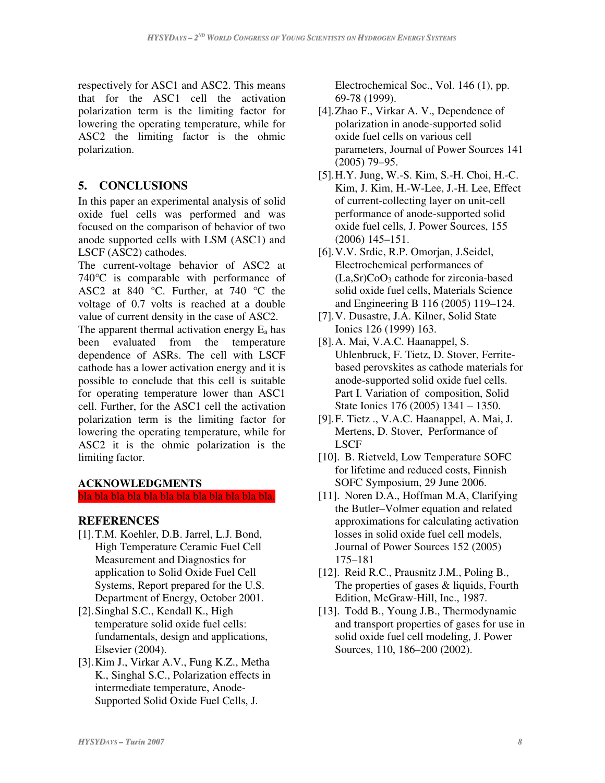respectively for ASC1 and ASC2. This means that for the ASC1 cell the activation polarization term is the limiting factor for lowering the operating temperature, while for ASC2 the limiting factor is the ohmic polarization.

# **5. CONCLUSIONS**

In this paper an experimental analysis of solid oxide fuel cells was performed and was focused on the comparison of behavior of two anode supported cells with LSM (ASC1) and LSCF (ASC2) cathodes.

The current-voltage behavior of ASC2 at 740°C is comparable with performance of ASC2 at 840 °C. Further, at 740 °C the voltage of 0.7 volts is reached at a double value of current density in the case of ASC2.

The apparent thermal activation energy  $E_a$  has been evaluated from the temperature dependence of ASRs. The cell with LSCF cathode has a lower activation energy and it is possible to conclude that this cell is suitable for operating temperature lower than ASC1 cell. Further, for the ASC1 cell the activation polarization term is the limiting factor for lowering the operating temperature, while for ASC2 it is the ohmic polarization is the limiting factor.

### **ACKNOWLEDGMENTS**

bla bla bla bla bla bla bla bla bla bla bla bla.

#### **REFERENCES**

- [1].T.M. Koehler, D.B. Jarrel, L.J. Bond, High Temperature Ceramic Fuel Cell Measurement and Diagnostics for application to Solid Oxide Fuel Cell Systems, Report prepared for the U.S. Department of Energy, October 2001.
- [2].Singhal S.C., Kendall K., High temperature solid oxide fuel cells: fundamentals, design and applications, Elsevier (2004).
- [3].Kim J., Virkar A.V., Fung K.Z., Metha K., Singhal S.C., Polarization effects in intermediate temperature, Anode-Supported Solid Oxide Fuel Cells, J.

Electrochemical Soc., Vol. 146 (1), pp. 69-78 (1999).

- [4].Zhao F., Virkar A. V., Dependence of polarization in anode-supported solid oxide fuel cells on various cell parameters, Journal of Power Sources 141 (2005) 79–95.
- [5].H.Y. Jung, W.-S. Kim, S.-H. Choi, H.-C. Kim, J. Kim, H.-W-Lee, J.-H. Lee, Effect of current-collecting layer on unit-cell performance of anode-supported solid oxide fuel cells, J. Power Sources, 155 (2006) 145–151.
- [6].V.V. Srdic, R.P. Omorjan, J.Seidel, Electrochemical performances of  $(La, Sr)CoO<sub>3</sub>$  cathode for zirconia-based solid oxide fuel cells, Materials Science and Engineering B 116 (2005) 119–124.
- [7].V. Dusastre, J.A. Kilner, Solid State Ionics 126 (1999) 163.
- [8].A. Mai, V.A.C. Haanappel, S. Uhlenbruck, F. Tietz, D. Stover, Ferritebased perovskites as cathode materials for anode-supported solid oxide fuel cells. Part I. Variation of composition, Solid State Ionics 176 (2005) 1341 – 1350.
- [9].F. Tietz ., V.A.C. Haanappel, A. Mai, J. Mertens, D. Stover, Performance of LSCF
- [10]. B. Rietveld, Low Temperature SOFC for lifetime and reduced costs, Finnish SOFC Symposium, 29 June 2006.
- [11]. Noren D.A., Hoffman M.A, Clarifying the Butler–Volmer equation and related approximations for calculating activation losses in solid oxide fuel cell models, Journal of Power Sources 152 (2005) 175–181
- [12]. Reid R.C., Prausnitz J.M., Poling B., The properties of gases & liquids, Fourth Edition, McGraw-Hill, Inc., 1987.
- [13]. Todd B., Young J.B., Thermodynamic and transport properties of gases for use in solid oxide fuel cell modeling, J. Power Sources, 110, 186–200 (2002).